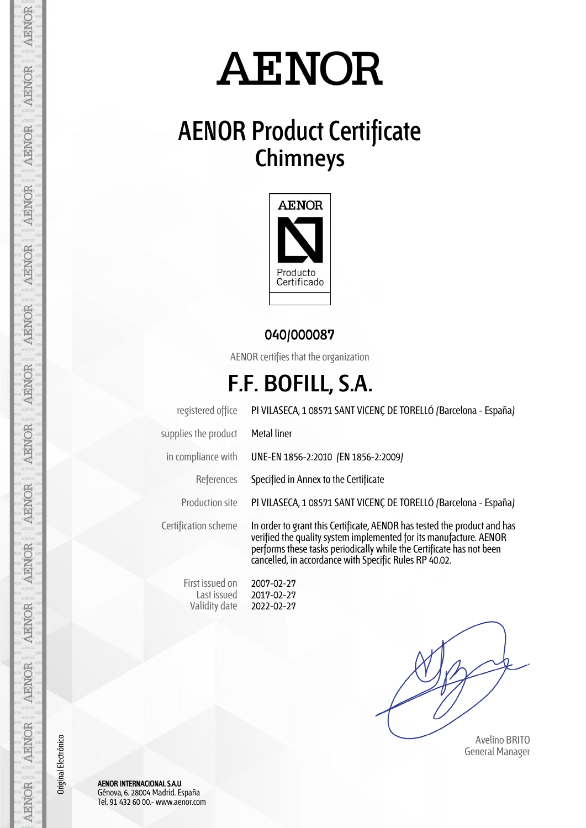# **AENOR**

## **AENOR Product Certificate Chimneys**



#### **040/000087**

AENOR certifies that the organization

### **F.F. BOFILL, S.A.**

registered office PI VILASECA, 1 08571 SANT VICENÇ DE TORELLÓ (Barcelona - España) supplies the product Metal liner in compliance with UNE-EN 1856-2:2010 (EN 1856-2:2009) References Specified in Annex to the Certificate Production site PI VILASECA, 1 08571 SANT VICENÇ DE TORELLÓ (Barcelona - España) Certification scheme In order to grant this Certificate, AENOR has tested the product and has verified the quality system implemented for its manufacture. AENOR performs these tasks periodically while the Certificate has not been cancelled, in accordance with Specific Rules RP 40.02. First issued on Last issued Validity date 2007-02-27 2017-02-27 2022-02-27

 Avelino BRITO General Manager

AENOR INTERNACIONAL S.A.U. Génova, 6. 28004 Madrid. España Tel. 91 432 60 00.- www.aenor.com

AENOR

**AENOR** 

**AENOR** 

**AENOR** 

**AENOR** 

**AENOR** 

**AENOR** 

**AENOR** 

**AENOR** 

AENOR

**AENOR** 

**AENOR** 

AENOR

Original Electrónico

Original Electrónico